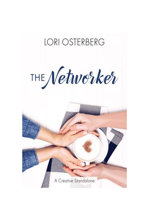THE Networker

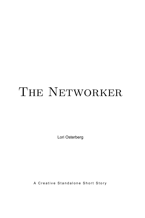# THE NETWORKER

Lori Osterberg

A Creative Standalone Short Story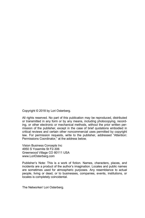Copyright © 2018 by Lori Osterberg.

All rights reserved. No part of this publication may be reproduced, distributed or transmitted in any form or by any means, including photocopying, recording, or other electronic or mechanical methods, without the prior written permission of the publisher, except in the case of brief quotations embodied in critical reviews and certain other noncommercial uses permitted by copyright law. For permission requests, write to the publisher, addressed "Attention: Permissions Coordinator," at the address below.

Vision Business Concepts Inc 4950 S Yosemite St F2-306 Greenwood Village CO 80111 USA www.LoriOsterberg.com

Publisher's Note: This is a work of fiction. Names, characters, places, and incidents are a product of the author's imagination. Locales and public names are sometimes used for atmospheric purposes. Any resemblance to actual people, living or dead, or to businesses, companies, events, institutions, or locales is completely coincidental.

The Networker/ Lori Osterberg.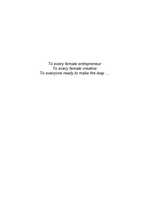*To every female entrepreneur To every female creative To everyone ready to make the leap …*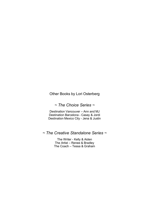### Other Books by Lori Osterberg

*~ The Choice Series ~*

Destination Vancouver – Ann and MJ Destination Barcelona - Casey & Jordi Destination Mexico City - Jena & Justin

### *~ The Creative Standalone Series ~*

The Writer - Kelly & Aiden The Artist – Renee & Bradley The Coach – Tessa & Graham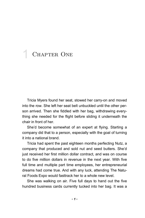# CHAPTER ONE

Tricia Myers found her seat, stowed her carry-on and moved into the row. She left her seat belt unbuckled until the other person arrived. Then she fiddled with her bag, withdrawing everything she needed for the flight before sliding it underneath the chair in front of her.

She'd become somewhat of an expert at flying. Starting a company did that to a person, especially with the goal of turning it into a national brand.

Tricia had spent the past eighteen months perfecting Nutz, a company that produced and sold nut and seed butters. She'd just received her first million dollar contract, and was on course to do five million dollars in revenue in the next year. With five full time and multiple part time employees, her entrepreneurial dreams had come true. And with any luck, attending The Natural Foods Expo would fasttrack her to a whole new level.

She was walking on air. Five full days to hand out the five hundred business cards currently tucked into her bag. It was a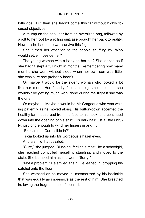lofty goal. But then she hadn't come this far without highly focused objectives.

A thump on the shoulder from an oversized bag, followed by a jolt to her foot by a rolling suitcase brought her back to reality. Now all she had to do was survive this flight.

She turned her attention to the people shuffling by. Who would settle in beside her?

The young woman with a baby on her hip? She looked as if she hadn't slept a full night in months. Remembering how many months she went without sleep when her own son was little, she was sure she probably hadn't.

Or maybe it would be the elderly woman who looked a lot like her mom. Her friendly face and big smile told her she wouldn't be getting much work done during the flight if she was the one.

Or maybe … Maybe it would be Mr Gorgeous who was waiting patiently as he moved along. His button-down accented the healthy tan that spread from his face to his neck, and continued down into the opening of his shirt. His dark hair just a little unruly; just long enough to wind her fingers in and …

"Excuse me. Can I slide in?"

Tricia looked up into Mr Gorgeous's hazel eyes.

And a smile that dazzled.

"Sure," she jumped. Blushing, feeling almost like a schoolgirl, she reached up, pulled herself to standing, and moved to the aisle. She bumped him as she went. "Sorry."

"Not a problem." He smiled again. He leaned in, dropping his satchel onto the floor.

She watched as he moved in, mesmerized by his backside that was equally as impressive as the rest of him. She breathed in, loving the fragrance he left behind.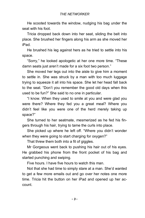He scooted towards the window, nudging his bag under the seat with his foot.

Tricia dropped back down into her seat, sliding the belt into place. She brushed her fingers along his arm as she moved her iPad.

He brushed his leg against hers as he tried to settle into his space.

"Sorry," he looked apologetic at her one more time. "These damn seats just aren't made for a six foot two person."

She moved her legs out into the aisle to give him a moment to settle in. She was struck by a man with too much luggage trying to squeeze it all into his space. She let her head fall back to the seat. "Don't you remember the good old days when this used to be fun?" She said to no one in particular.

"I know. When they used to smile at you and were glad you were there? Where they fed you a great meal? Where you didn't feel like you were one of the herd merely taking up space?"

She turned to her seatmate, mesmerized as he fed his fingers through his hair, trying to tame the curls into place.

She picked up where he left off. "Where you didn't wonder when they were going to start charging for oxygen?"

That threw them both into a fit of giggles.

Mr Gorgeous went back to pushing his hair out of his eyes. He grabbed his phone from the front pocket of his bag and started punching and swiping.

Five hours. I have five hours to watch this man.

Not that she had time to simply stare at a man. She'd wanted to get a few more emails out and go over her notes one more time. Tricia hit the button on her iPad and opened up her account.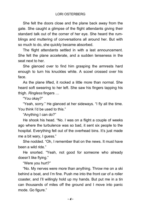She felt the doors close and the plane back away from the gate. She caught a glimpse of the flight attendants giving their standard talk out of the corner of her eye. She heard the rumblings and muttering of conversations all around her. But with so much to do, she quickly became absorbed.

The flight attendants settled in with a last announcement. She felt the plane accelerate, and a sudden tenseness in the seat next to her.

She glanced over to find him grasping the armrests hard enough to turn his knuckles white. A scowl crossed over his face.

As the plane lifted, it rocked a little more than normal. She heard soft swearing to her left. She saw his fingers tapping his thigh. *Ringless* fingers …

"You okay?"

"Yeah, sorry." He glanced at her sideways. "I fly all the time. You think I'd be used to this."

"Anything I can do?"

He shook his head. "No. I was on a flight a couple of weeks ago where the turbulence was so bad, it sent six people to the hospital. Everything fell out of the overhead bins. It's just made me a bit wary. I quess."

She nodded. "Oh, I remember that on the news. It must have been a wild ride."

He snorted. "Yeah, not good for someone who already doesn't like flying."

"Were you hurt?"

"No. My nerves were more than anything. Throw me on a ski behind a boat, and I'm fine. Push me into the front car of a roller coaster, and I'll willingly hold up my hands. But put me in a tin can thousands of miles off the ground and I move into panic mode. Go figure."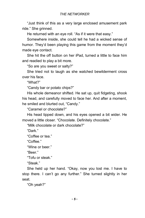"Just think of this as a very large enclosed amusement park ride." She grinned.

He returned with an eye roll. "As if it were that easy."

Somewhere inside, she could tell he had a wicked sense of humor. They'd been playing this game from the moment they'd made eye contact.

She hit the off button on her iPad, turned a little to face him and readied to play a bit more.

"So are you sweet or salty?"

She tried not to laugh as she watched bewilderment cross over his face.

"What?"

"Candy bar or potato chips?"

His whole demeanor shifted. He sat up, quit fidgeting, shook his head, and carefully moved to face her. And after a moment, he smiled and blurted out, "Candy."

"Caramel or chocolate?"

His head tipped down, and his eyes opened a bit wider. He moved a little closer. "Chocolate. Definitely chocolate."

"Milk chocolate or dark chocolate?"

"Dark."

```
"Coffee or tea."
```
"Coffee."

"Wine or beer."

"Beer."

"Tofu or steak."

"Steak."

She held up her hand. "Okay, now you lost me. I have to stop there. I can't go any further." She turned slightly in her seat.

"Oh yeah?"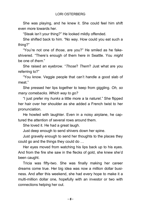She was playing, and he knew it. She could feel him shift even more towards her.

"Steak isn't your thing?" He looked mildly offended.

She shifted back to him. "No way. How could you eat such a thing?"

"You're not one of *those*, are you?" He smiled as he fakeshivered. "There's enough of them here in Seattle. You *might* be one of *them*."

She raised an eyebrow. "*Those*? *Them*? Just what are you referring to?"

"You know. Veggie people that can't handle a good slab of meat."

She pressed her lips together to keep from giggling. *Oh, so many comebacks. Which way to go?*

"I just prefer my *hunks* a little more a la naturel." She flipped her hair over her shoulder as she added a French twist to her pronunciation.

He howled with laughter. Even in a noisy airplane, he captured the attention of several rows around them.

She loved it. He had a great laugh.

Just deep enough to send shivers down her spine.

Just gravelly enough to send her thoughts to the places they could go and the things they could do …

Her eyes moved from watching his lips back up to his eyes. And from the fire she saw in the flecks of gold, she knew she'd been caught.

Tricia was fifty-two. She was finally making her career dreams come true. Her big idea was now a million dollar business. And after this weekend, she had every hope to make it a multi-million dollar one, hopefully with an investor or two with connections helping her out.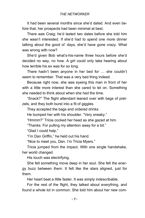### *THE NETWORKER*

It had been several months since she'd dated. And even before that, her prospects had been minimal at best.

There was Craig; he'd lasted two dates before she told him she wasn't interested. If she'd had to spend one more dinner talking about the good ol' days, she'd have gone crazy. What was wrong with now?

She'd given Bob what's-his-name three hours before she'd decided no way, no how. A girl could only take hearing about how terrible his ex was for so long.

There hadn't been anyone in her bed for … she couldn't seem to remember. That was a very bad thing indeed.

Because right now, she was eyeing this man in front of her with a little more interest than she cared to let on. Something she needed to think about when she had the time.

"Snack?" The flight attendant leaned over with bags of pretzels, and they both burst into a fit of giggles.

They accepted the bags and ordered drinks.

He bumped her with his shoulder. "Very sneaky."

"Hmmm?" Tricia cocked her head as she gazed at him.

"Thanks. For pulling my attention away for a bit."

"Glad I could help."

"I'm Dan Griffin," he held out his hand.

"Nice to meet you, Dan. I'm Tricia Myers."

Tricia jumped from the impact. With one single handshake, her world changed.

His touch was electrifying.

She felt something move deep in her soul. She felt the energy buzz between them. It felt like the stars aligned, just for them.

Her heart beat a little faster. It was simply indescribable.

For the rest of the flight, they talked about everything, and found a whole lot in common. She told him about her new com-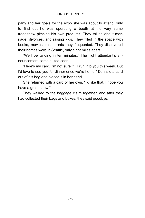pany and her goals for the expo she was about to attend, only to find out he was operating a booth at the very same tradeshow pitching his own products. They talked about marriage, divorces, and raising kids. They filled in the space with books, movies, restaurants they frequented. They discovered their homes were in Seattle, only eight miles apart.

"We'll be landing in ten minutes." The flight attendant's announcement came all too soon.

"Here's my card. I'm not sure if I'll run into you this week. But I'd love to see you for dinner once we're home." Dan slid a card out of his bag and placed it in her hand.

She returned with a card of her own. "I'd like that. I hope you have a great show."

They walked to the baggage claim together, and after they had collected their bags and boxes, they said goodbye.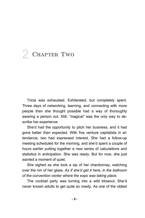# 2 Chapter Two

Tricia was exhausted. Exhilarated, but completely spent. Three days of networking, learning, and connecting with more people than she thought possible had a way of thoroughly wearing a person out. Still, "magical" was the only way to describe her experience.

She'd had the opportunity to pitch her business, and it had gone better than expected. With five venture capitalists in attendance, two had expressed interest. She had a follow-up meeting scheduled for the morning, and she'd spent a couple of hours earlier putting together a new series of calculations and statistics in anticipation. She was ready. But for now, she just wanted a moment of quiet.

She sighed as she took a sip of her chardonnay, watching over the rim of her glass. *As if she'd get it here, in the ballroom of the convention center where the expo was taking place*.

The cocktail party was turning into a wild blowout. She'd never known adults to get quite so rowdy. As one of the oldest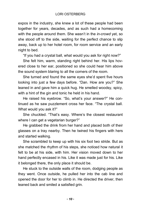expos in the industry, she knew a lot of these people had been together for years, decades, and as such had a homecoming with the people around them. She wasn't in the *in-crowd* yet, so she stood off to the side, waiting for the perfect chance to slip away, back up to her hotel room, for room service and an early night to bed.

"If you had a crystal ball, what would you ask for right now?"

She felt him, warm, standing right behind her. His lips hovered close to her ear, positioned so she could hear him above the sound system blaring to all the corners of the room.

She turned and found the same eyes she'd spent five hours looking into just a few days before. "Dan. How are you?" She leaned in and gave him a quick hug. He smelled woodsy, spicy, with a hint of the gin and tonic he held in his hand.

He raised his eyebrow. "So, what's your answer?" He continued as he saw puzzlement cross her face. "The crystal ball. What would you ask it?"

She chuckled. "That's easy. Where's the closest restaurant where I can get a vegetarian burger?"

He grabbed the drink from her hand and placed both of their glasses on a tray nearby. Then he twined his fingers with hers and started walking.

She scrambled to keep up with his six foot two stride. But as she matched the rhythm of his steps, she noticed how natural it felt to be at his side, with him. Her vision moved down to her hand perfectly encased in his. Like it was made just for his. Like it belonged there, the only place it should be.

He stuck to the outside walls of the room, dodging people as they went. Once outside, he pulled her into the cab line and opened the door for her to climb in. He directed the driver, then leaned back and smiled a satisfied grin.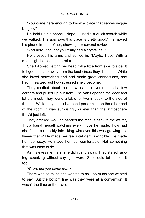"You come here enough to know a place that serves veggie burgers?"

He held up his phone. "Nope, I just did a quick search while we walked. The app says this place is pretty good." He moved his phone in front of her, showing her several reviews.

"And here I thought you really had a crystal ball."

He crossed his arms and settled in. "Maybe I do." With a deep sigh, he seemed to relax.

She followed, letting her head roll a little from side to side. It felt good to step away from the loud circus they'd just left. While she loved networking and had made great connections, she hadn't realized just how stressed she'd become.

They chatted about the show as the driver rounded a few corners and pulled up out front. The valet opened the door and let them out. They found a table for two in back, to the side of the bar. While they had a live band performing on the other end of the room, it was surprisingly quieter than the atmosphere they'd just left.

They ordered. As Dan handed the menus back to the waiter, Tricia found herself watching every move he made. How had she fallen so quickly into liking whatever this was growing between them? He made her feel intelligent, invincible. He made her feel sexy. He made her feel comfortable. Not something that was easy to do.

As his eyes met hers, she didn't shy away. They stared, asking, speaking without saying a word. She could tell he felt it too.

### *Where did you come from?*

There was so much she wanted to ask; so much she wanted to say. But the bottom line was they were at a convention. It wasn't the time or the place.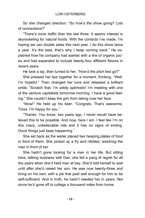So she changed direction. "So how's the show going? Lots of connections?"

"There's more traffic than the last three. It seems interest is skyrocketing for natural foods. With the contacts I've made, I'm hoping we can double sales this next year. I do this show twice a year. It's the best, that's why I keep coming back." He explained how his company had started with a line of organic juices and had expanded to include twenty-four different flavors in recent years.

He took a sip, then turned to her. "How'd the pitch fest go?"

She pressed her lips together for a moment, thinking. "Well. I'm hopeful." Then changed her tune and released a brilliant smile. "Scratch that. I'm *wildly optimistic*! I'm meeting with one of the venture capitalists tomorrow morning. I have a good feeling." She couldn't keep the grin from taking over her face.

"Wow!" He held up his beer. "Congrats. That's awesome, Tricia. I'm happy for you."

"Thanks. You know, two years ago, I never would have believed this to be possible. And now, here I am. I feel like I'm on this crazy, unbelievable ride and it has no signs of ending. Good things just keep happening."

She sat back as the waiter placed two heaping plates of food in front of them. She picked up a fry and nibbled, watching the man in front of her.

She hadn't gone looking for a man in her life. But sitting here, talking business with Dan, she felt a pang of regret for all the years when she'd held men at bay. She'd told herself to wait until after she'd raised her son. He was now twenty-three and living on his own, with a job that paid well enough for him to be self-sufficient. And in truth, he hadn't needed her in years. Not since he'd gone off to college a thousand miles from home.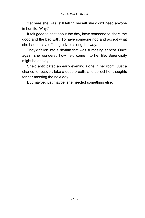Yet here she was, still telling herself she didn't need anyone in her life. Why?

If felt good to chat about the day, have someone to share the good and the bad with. To have someone nod and accept what she had to say, offering advice along the way.

They'd fallen into a rhythm that was surprising at best. Once again, she wondered how he'd come into her life. Serendipity might be at play.

She'd anticipated an early evening alone in her room. Just a chance to recover, take a deep breath, and collect her thoughts for her meeting the next day.

But maybe, just maybe, she needed something else.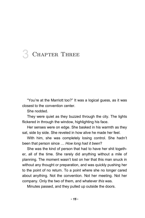# CHAPTER THREE

"You're at the Marriott too?" It was a logical guess, as it was closest to the convention center.

She nodded.

They were quiet as they buzzed through the city. The lights flickered in through the window, highlighting his face.

Her senses were on edge. She basked in his warmth as they sat, side by side. She reveled in how alive he made her feel.

With him, she was completely losing control. She hadn't been that person since … *How long had it been*?

She was the kind of person that had to have her shit together, all of the time. She rarely did anything without a mile of planning. The moment wasn't lost on her that this man snuck in without any thought or preparation, and was quickly pushing her to the point of no return. To a point where she no longer cared about anything. Not the convention. Not her meeting. Not her company. Only the two of them, and whatever *this* was.

Minutes passed, and they pulled up outside the doors.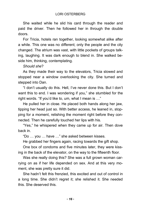She waited while he slid his card through the reader and paid the driver. Then he followed her in through the double doors.

For Tricia, hotels ran together, looking somewhat alike after a while. This one was no different; only the people and the city changed. The atrium was vast, with little pockets of groups talking, laughing. It was dark enough to blend in. She walked beside him, thinking, contemplating.

*Should she*?

As they made their way to the elevators, Tricia slowed and stopped near a window overlooking the city. She turned and stepped into Dan.

"I don't usually do this. Hell, I've never done this. But I don't want this to end. I was wondering if you," she stumbled for the right words. "If you'd like to, um, what I mean is …"

He pulled her in close. He placed both hands along her jaw, tipping her head just so. With better access, he leaned in, stopping for a moment, relishing the moment right before they connected. Then he carefully touched her lips with his.

"Yes," he whispered when they came up for air. Then dove back in.

"Do … you … have …" she asked between kisses.

He grabbed her fingers again, racing towards the gift shop.

One box of condoms and five minutes later, they were kissing in the back of the elevator, on the way to the fifteenth floor.

Was she really doing this? She was a full grown woman carrying on as if her life depended on sex. And at this very moment, she was pretty sure it did.

She hadn't felt this frenzied, this excited and out of control in a long time. She didn't regret it; she relished it. She needed this. She deserved this.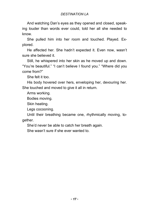And watching Dan's eyes as they opened and closed, speaking louder than words ever could, told her all she needed to know.

She pulled him into her room and touched. Played. Explored.

He affected her. She hadn't expected it. Even now, wasn't sure she believed it.

Still, he whispered into her skin as he moved up and down. "You're beautiful." "I can't believe I found you." "Where did you come from?"

She felt it too.

His body hovered over hers, enveloping her, devouring her. She touched and moved to give it all in return.

Arms working.

Bodies moving.

Skin heating.

Legs cocooning.

Until their breathing became one, rhythmically moving, together.

She'd never be able to catch her breath again.

She wasn't sure if she ever wanted to.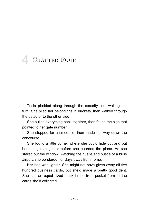# 4 Chapter Four

Tricia plodded along through the security line, waiting her turn. She piled her belongings in buckets, then walked through the detector to the other side.

She pulled everything back together, then found the sign that pointed to her gate number.

She stopped for a smoothie, then made her way down the concourse.

She found a little corner where she could hide out and put her thoughts together before she boarded the plane. As she stared out the window, watching the hustle and bustle of a busy airport, she pondered her days away from home.

Her bag was lighter. She might not have given away all five hundred business cards, but she'd made a pretty good dent. She had an equal sized stack in the front pocket from all the cards she'd collected.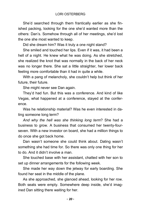She'd searched through them frantically earlier as she finished packing, looking for the one she'd wanted more than the others: Dan's. Somehow through all of her meetings, she'd lost the one she most wanted to keep.

Did she dream him? Was it truly a one night stand?

She smiled and touched her lips. Even if it was, it had been a hell of a night. He knew what he was doing. As she stretched, she realized the knot that was normally in the back of her neck was no longer there. She sat a little straighter, her lower back feeling more comfortable than it had in quite a while.

With a pang of melancholy, she couldn't help but think of her future, their future.

She might never see Dan again.

They'd had fun. But this was a conference. And kind of like Vegas, what happened at a conference, stayed at the conference.

Was he relationship material? Was he even interested in dating someone long term?

*And why the hell was she thinking long term*? She had a business to grow. A business that consumed her twenty-fourseven. With a new investor on board, she had a million things to do once she got back home.

Dan wasn't someone she could think about. Dating wasn't something she had time for. So there was only one thing for her to do. And it didn't involve a man.

She touched base with her assistant, chatted with her son to set up dinner arrangements for the following week.

She made her way down the jetway for early boarding. She found her seat in the middle of the plane.

As she approached, she glanced ahead, looking for her row. Both seats were empty. Somewhere deep inside, she'd imagined Dan sitting there waiting for her.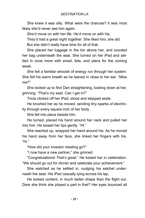She knew it was silly. What were the chances? It was most likely she'd never see him again.

She'd move on with her life. He'd move on with his.

They'd had a great night together. She liked him; she did.

But she didn't really have time for all of that.

She placed her luggage in the bin above her, and scooted her bag underneath the seat. She turned on her iPad and settled in once more with email, lists, and plans for the coming week.

She felt a familiar whoosh of energy run through her system. She felt his warm breath as he leaned in close to her ear. "Miss me?"

She looked up to find Dan straightening, looking down at her, grinning. "That's my seat. Can I get in?"

Tricia clicked off her iPad, stood and stepped aside.

He brushed her as he moved, sending tiny sparks of electricity through every square inch of her body.

She fell into place beside him.

He turned, placed his hand around her neck and pulled her into him. He kissed her lips gently. "Hi."

She reached up, wrapped her hand around his. As he moved his hand away from her face, she linked her fingers with his. "Hi."

"How did your investor meeting go?"

"I now have a new partner," she grinned.

"Congratulations! That's great." He kissed her in celebration. "We should go out for dinner and celebrate your achievement."

She watched as he settled in, nudging his satchel underneath the seat. His iPad casually lying across his lap.

He looked content, in much better shape than the flight out. Dare she think she played a part in that? Her eyes bounced all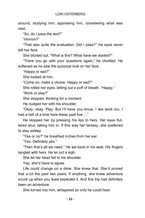around, studying him, appraising him, considering what was next.

"So, do I pass the test?"

"Hmmm?"

"That was quite the evaluation. Did I pass?" his eyes never left her face.

She blurted out, "What is this? What have we started?"

"There you go with your questions again," he chortled. He softened as he saw the quizzical look on her face.

"Happy or sad?"

She looked at him.

"Come on, make a choice. Happy or sad?"

She rolled her eyes, letting out a puff of breath. "Happy."

"Work or play?"

She stopped, thinking for a moment.

He nudged her with his shoulder.

"Okay, okay. Play. But I'll have you know, I like work too. I had a hell of a time here these past five …"

He stopped her by pressing his lips to hers. Her eyes fluttered shut, taking him in. If this was her fantasy, she preferred to stay asleep.

"Yes or no?" he breathed inches from her ear.

"Yes. Definitely yes."

"Then that's all we need." He sat back in his seat. His fingers tangled with hers. He let out a sigh.

She let her head fall to his shoulder.

Yep, she'd have to agree.

Life could change on a dime. She knew that. She'd proved that a lot the past two years. If anything, she knew adventure snuck up when you least expected it. And this trip had definitely been an adventure.

She turned into him, whispered so only he could hear.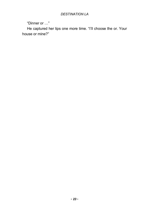"Dinner or …"

He captured her lips one more time. "I'll choose the or. Your house or mine?"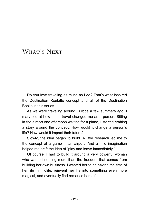### WHAT'S NEXT

Do you love traveling as much as I do? That's what inspired the Destination Roulette concept and all of the Destination Books in this series.

As we were traveling around Europe a few summers ago, I marveled at how much travel changed me as a person. Sitting in the airport one afternoon waiting for a plane, I started crafting a story around the concept. How would it change a person's life? How would it impact their future?

Slowly, the idea began to build. A little research led me to the concept of a game in an airport. And a little imagination helped me craft the idea of "play and leave immediately."

Of course, I had to build it around a very powerful woman who wanted nothing more than the freedom that comes from building her own business. I wanted her to be having the time of her life in midlife, reinvent her life into something even more magical, and eventually find romance herself.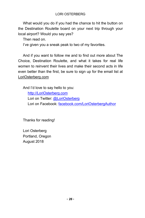What would you do if you had the chance to hit the button on the Destination Roulette board on your next trip through your local airport? Would you say yes?

Then read on.

I've given you a sneak peak to two of my favorites.

And if you want to follow me and to find out more about The Choice, Destination Roulette, and what it takes for real life women to reinvent their lives and make their second acts in life even better than the first, be sure to sign up for the email list at LoriOsterberg.com

And I'd love to say hello to you:

http://LoriOsterberg.com Lori on Twitter: @LoriOsterberg Lori on Facebook: facebook.com/LoriOsterbergAuthor

Thanks for reading!

Lori Osterberg Portland, Oregon August 2018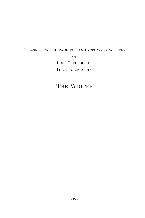### PLEASE TURN THE PAGE FOR AN EXCITING SNEAK PEEK  $OF$ LORI OSTERBERG'S The Choice Series

### THE WRITER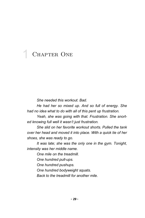## CHAPTER ONE

*She needed this workout. Bad.* 

*He had her so mixed up. And so full of energy. She had no idea what to do with all of this pent up frustration.* 

*Yeah, she was going with that. Frustration. She snorted knowing full well it wasn't just frustration.* 

*She slid on her favorite workout shorts. Pulled the tank over her head and moved it into place. With a quick tie of her shoes, she was ready to go.* 

*It was late; she was the only one in the gym. Tonight, intensity was her middle name.* 

*One mile on the treadmill.*

*One hundred pull-ups.*

*One hundred pushups.*

*One hundred bodyweight squats.* 

*Back to the treadmill for another mile.*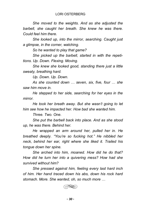*She moved to the weights. And as she adjusted the barbell, she caught her breath. She knew he was there. Could feel him there.* 

*She looked up, into the mirror, searching. Caught just a glimpse, in the corner, watching.* 

*So he wanted to play that game?* 

*She picked up the barbell, started in with the repetitions. Up. Down. Flexing. Moving.* 

*She knew she looked good, standing there just a little sweaty, breathing hard.* 

*Up. Down. Up. Down.* 

*As she counted down … seven, six, five, four … she saw him move in.* 

*He stepped to her side, searching for her eyes in the mirror.* 

*He took her breath away. But she wasn't going to let him see how he impacted her. How bad she wanted him.* 

*Three. Two. One.* 

*She put the barbell back into place. And as she stood up, he was there. Behind her.*

*He wrapped an arm around her, pulled her in. He breathed deeply. "You're so fucking hot." He nibbled her neck, behind her ear, right where she liked it. Trailed his tongue down her spine.* 

*She arched into him, moaned. How did he do that? How did he turn her into a quivering mess? How had she survived without him?* 

*She pressed against him, feeling every last hard inch of him. Her hand traced down his abs, down his rock hard stomach. More. She wanted, oh, so much more …*

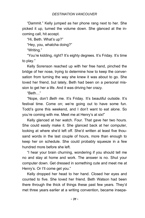"Dammit." Kelly jumped as her phone rang next to her. She picked it up, turned the volume down. She glanced at the incoming call, hit accept.

"Hi, Beth. What's up?"

"Hey, you, whatcha doing?"

"Writing."

"You're kidding, right? It's eighty degrees. It's Friday. It's time to play."

Kelly Sorenson reached up with her free hand, pinched the bridge of her nose, trying to determine how to keep the conversation from turning the way she knew it was about to go. She loved her friend, but lately, Beth had been on a personal mission to get her a life. And it was driving her crazy.

"Beth…"

"Nope, don't *Beth* me. It's Friday. It's beautiful outside. It's festival time. Come on; we're going out to have some fun. Todd's gone this weekend, and I don't want to eat alone. So you're coming with me. Meet me at Henry's at six!"

Kelly glanced at her watch. Four. That gave her two hours. She could easily make it. She glanced back at her computer, looking at where she'd left off. She'd written at least five thousand words in the last couple of hours, more than enough to keep her on schedule. She could probably squeeze in a few hundred more before she left.

"I hear your brain churning, wondering if you should tell me no and stay at home and work. The answer is no. Shut your computer down. Get dressed in something cute and meet me at Henry's. Or I'll come get you."

Kelly dropped her head to her hand. Closed her eyes and counted to five. She loved her friend. Beth Watson had been there through the thick of things these past few years. They'd met three years earlier at a writing convention, became insepa-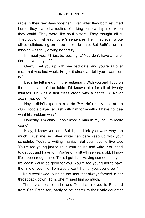rable in their few days together. Even after they both returned home, they started a routine of talking once a day, met when they could. They were like soul sisters. They thought alike. They could finish each other's sentences. Hell, they even wrote alike, collaborating on three books to date. But Beth's current mission was truly driving her crazy.

"If I meet you, it'll just be you, right? You don't have an ulterior motive, do you?"

"Geez, I set you up with one bad date, and you're all over me. That was last week. Forget it already. I told you I was sorry."

"Beth, he felt me up. In the restaurant. With you and Todd on the other side of the table. I'd known him for all of twenty minutes. He was a first class creep with a capital C. Never again, you got it?"

"Hey, I didn't expect him to do *that*. He's really nice at the club. Todd's played squash with him for months. I have no idea what his problem was."

"Honestly, I'm okay. I don't need a man in my life. I'm really *okay*."

"Kelly, I know you are. But I just think you work way too much. Trust me; no other writer can dare keep up with your schedule. You're a writing maniac. But you have to live too. You're too young just to sit in your house and write. You need to get out and have fun. You're only fifty-three years old. I know life's been rough since Tom. I get that. Having someone in your life again would be good for you. You're too young not to have the time of your life. Tom would want that for you, you know."

Kelly swallowed, pushing the knot that always formed in her throat back down. Tom. She missed him so much.

Three years earlier, she and Tom had moved to Portland from San Francisco, partly to be nearer to their only daughter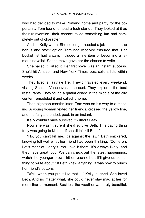who had decided to make Portland home and partly for the opportunity Tom found to head a tech startup. They looked at it as their reinvention, their chance to do something fun and completely out of character.

And so Kelly wrote. She no longer needed a job - the startup bonus and stock option Tom had received ensured that. Her bucket list had always included a line item of becoming a famous novelist. So the move gave her the chance to write.

She nailed it. Killed it. Her first novel was an instant success. She'd hit Amazon and New York Times' best sellers lists within weeks.

They lived a fairytale life. They'd traveled every weekend, visiting Seattle, Vancouver, the coast. They explored the best restaurants. They found a quaint condo in the middle of the city center, remodeled it and called it home.

Then eighteen months later, Tom was on his way to a meeting. A young woman texted her friends, crossed the yellow line, and the fairytale ended, poof, in an instant.

Kelly couldn't have survived it without Beth.

Now she wasn't sure if she'd survive Beth. This dating thing truly was going to kill her. If she didn't kill Beth first.

"No, you can't kill me. It's against the law." Beth snickered, knowing full well what her friend had been thinking. "Come on. Let's meet at Henry's. You love it there. It's always lively, and they have great food. We can check out the latest happenings, watch the younger crowd hit on each other. It'll give us something to write about." If Beth knew anything, it was how to punch her friend's buttons.

"Well, when you put it like that …" Kelly laughed. She loved Beth. And no matter what, she could never stay mad at her for more than a moment. Besides, the weather was truly beautiful.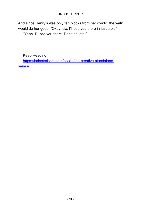And since Henry's was only ten blocks from her condo, the walk would do her good. "Okay, six, I'll see you there in just a bit." "Yeah. I'll see you there. Don't be late."

Keep Reading:

https://loriosterberg.com/books/the-creative-standaloneseries/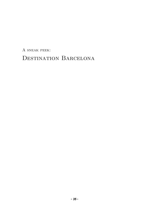A sneak peek: Destination Barcelona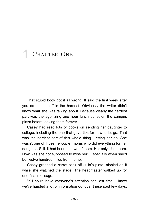# CHAPTER ONE

That stupid book got it all wrong. It said the first week after you drop them off is the hardest. Obviously the writer didn't know what she was talking about. Because clearly the hardest part was the agonizing one hour lunch buffet on the campus plaza before leaving them forever.

Casey had read lots of books on sending her daughter to college, including the one that gave tips for how to let go. That was the hardest part of this whole thing. Letting her go. She wasn't one of those helicopter moms who did everything for her daughter. Still, it had been the two of them. Her only. Just them. How was she not supposed to miss her? Especially when she'd be twelve hundred miles from home.

Casey grabbed a carrot stick off Julia's plate, nibbled on it while she watched the stage. The headmaster walked up for one final message.

"If I could have everyone's attention one last time. I know we've handed a lot of information out over these past few days.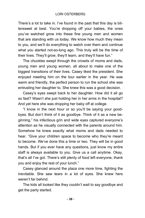There's a lot to take in. I've found in the past that this day is bittersweet at best. You're dropping off your babies, the ones you've watched grow into these fine young men and women that are standing with us today. We know how much they mean to you, and we'll do everything to watch over them and continue what you started not-so-long ago. This truly will be the time of their lives. They'll grow, they'll learn, and they'll have fun."

The chuckles swept through the crowds of moms and dads, young men and young women, all about to make one of the biggest transitions of their lives. Casey liked the president. She enjoyed meeting him on the tour earlier in the year. He was warm and friendly, the perfect person to run the school she was entrusting her daughter to. She knew this was a good decision.

Casey's eyes swept back to her daughter. How did it all go so fast? Wasn't she just holding her in her arms in the hospital? And yet here she was dropping her baby off at college.

"I know in the next hour or so you'll be saying your goodbyes. But don't think of it as goodbye. Think of it as a new beginning," his infectious grin and wide eyes captured everyone's attention as he visually connected with the parents around him. Somehow he knew exactly what moms and dads needed to hear. "Give your children space to become who they're meant to become. We've done this a time or two. They will be in good hands. But if you ever have any questions, just know my entire staff is always available to you. Give us a call anytime. Okay, that's all I've got. There's still plenty of food left everyone, thank you and enjoy the rest of your lunch."

Casey glanced around the plaza one more time, fighting the inevitable. She saw tears in a lot of eyes. She knew hers weren't far behind.

The kids all looked like they couldn't wait to say goodbye and get the party started.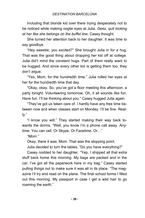Including that blonde kid over there trying desperately not to be noticed while making ooglie eyes at Julia. *Geez, quit looking at her like she belongs on the buffet line*, Casey thought.

She turned her attention back to her daughter. It was time to say goodbye.

"Hey sweetie, you excited?" She brought Julia in for a hug. That was the good thing about dropping her kid off at college. Julia did't mind the constant hugs. Part of them really want to be hugged. And since every other kid is getting them too, they don't argue.

"Yes, Mom, for the hundredth time." Julia rolled her eyes at her for the hundredth time that day.

"Okay, okay. So, you've got a floor meeting this afternoon, a party tonight. Volunteering tomorrow. Oh, it all sounds like fun. Have fun. I'll be thinking about you." Casey hugged Julia again.

"They've got us taken care of. I hardly have any free time between now and when classes start on Monday. I'll be fine. Really."

"I know you will." They started making their way back towards the dorms. "Well, you know I'm a phone call away. Anytime. You can call. Or Skype. Or Facetime. Or…"

*"Mom."*

Okay, there it was. Mom. That was the stopping point.

Julia decided to turn the tables. "Do you have everything?"

Casey nodded to her daughter. "Yep, I shipped all that extra stuff back home this morning. My bags are packed and in the car. I've got all the paperwork here in my bag." Casey started pulling things out to make sure it was all in its place. "The magazine I'll try and read on the plane. The final school forms I filled out this morning. My passport in case I get a wild hair to go roaming the earth."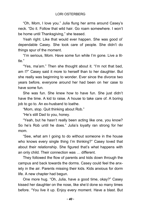"Oh, Mom, I love you." Julia flung her arms around Casey's neck. "Do it. Follow that wild hair. Go roam somewhere. I won't be home until Thanksgiving," she teased.

Yeah right. Like that would ever happen. She was good ol' dependable Casey. She took care of people. She didn't do things spur of the moment.

"I'm serious, Mom. Have some fun while I'm gone. Live a little."

"Yes, ma'am." Then she thought about it. "I'm not that bad, am I?" Casey said it more to herself than to her daughter. But she really was beginning to wonder. Ever since the divorce two years before, everyone around her had been on her case to have some fun.

She was fun. She knew how to have fun. She just didn't have the time. A kid to raise. A house to take care of. A boring job to go to. An ex-husband to loathe.

"Mom, stop. Quit thinking about Rob."

"He's still Dad to you, honey.

"Yeah, but he hasn't really been acting like one, you know? So he's Rob until he does." Julia's loyalty ran strong for her mom.

"See, what am I going to do without someone in the house who knows every single thing I'm thinking?" Casey loved that about their relationship. She figured that's what happens with an only child. Their connection was … different.

They followed the flow of parents and kids down through the campus and back towards the dorms. Casey could feel the anxiety in the air. Parents missing their kids. Kids anxious for dorm life. A new chapter had begun.

One more hug. "Oh, Julia, have a good time, okay?" Casey kissed her daughter on the nose, like she'd done so many times before. "You live it up. Enjoy every moment. Have a blast. But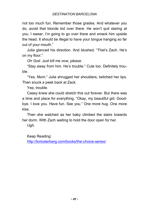not too much fun. Remember those grades. And whatever you do, avoid that blonde kid over there. He won't quit staring at you. I swear, I'm going to go over there and smack him upside the head. It should be illegal to have your tongue hanging so far out of your mouth."

Julia glanced his direction. And blushed. "That's Zach. He's on my floor."

*Oh God. Just kill me now, please*.

"Stay away from him. He's trouble." Cute too. Definitely trouble.

"Yes, Mom." Julia shrugged her shoulders, twitched her lips. Then snuck a peek back at Zack.

Yep, trouble.

Casey knew she could stretch this out forever. But there was a time and place for everything. "Okay, my beautiful girl. Goodbye. I love you. Have fun. See you." One more hug. One more kiss.

Then she watched as her baby climbed the stairs towards her dorm. With Zach waiting to hold the door open for her.

*Ugh*.

Keep Reading:

http://loriosterberg.com/books/the-choice-series/